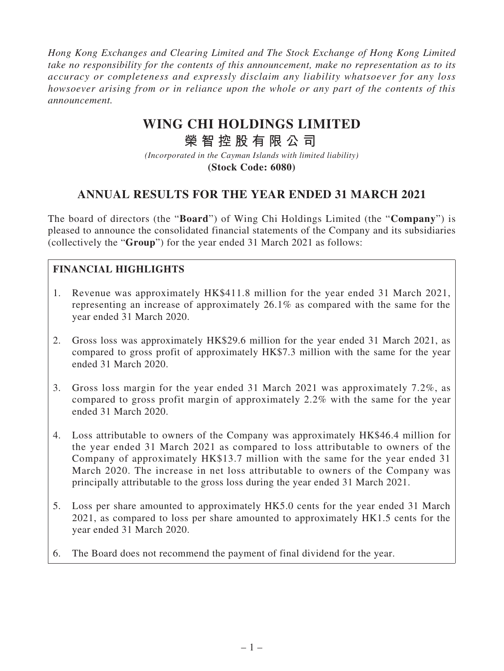*Hong Kong Exchanges and Clearing Limited and The Stock Exchange of Hong Kong Limited take no responsibility for the contents of this announcement, make no representation as to its accuracy or completeness and expressly disclaim any liability whatsoever for any loss howsoever arising from or in reliance upon the whole or any part of the contents of this announcement.*

# **WING CHI HOLDINGS LIMITED**

# **榮智控股有限公司**

*(Incorporated in the Cayman Islands with limited liability)* **(Stock Code: 6080)**

# **ANNUAL RESULTS FOR THE YEAR ENDED 31 MARCH 2021**

The board of directors (the "**Board**") of Wing Chi Holdings Limited (the "**Company**") is pleased to announce the consolidated financial statements of the Company and its subsidiaries (collectively the "**Group**") for the year ended 31 March 2021 as follows:

## **FINANCIAL HIGHLIGHTS**

- 1. Revenue was approximately HK\$411.8 million for the year ended 31 March 2021, representing an increase of approximately 26.1% as compared with the same for the year ended 31 March 2020.
- 2. Gross loss was approximately HK\$29.6 million for the year ended 31 March 2021, as compared to gross profit of approximately HK\$7.3 million with the same for the year ended 31 March 2020.
- 3. Gross loss margin for the year ended 31 March 2021 was approximately 7.2%, as compared to gross profit margin of approximately 2.2% with the same for the year ended 31 March 2020.
- 4. Loss attributable to owners of the Company was approximately HK\$46.4 million for the year ended 31 March 2021 as compared to loss attributable to owners of the Company of approximately HK\$13.7 million with the same for the year ended 31 March 2020. The increase in net loss attributable to owners of the Company was principally attributable to the gross loss during the year ended 31 March 2021.
- 5. Loss per share amounted to approximately HK5.0 cents for the year ended 31 March 2021, as compared to loss per share amounted to approximately HK1.5 cents for the year ended 31 March 2020.
- 6. The Board does not recommend the payment of final dividend for the year.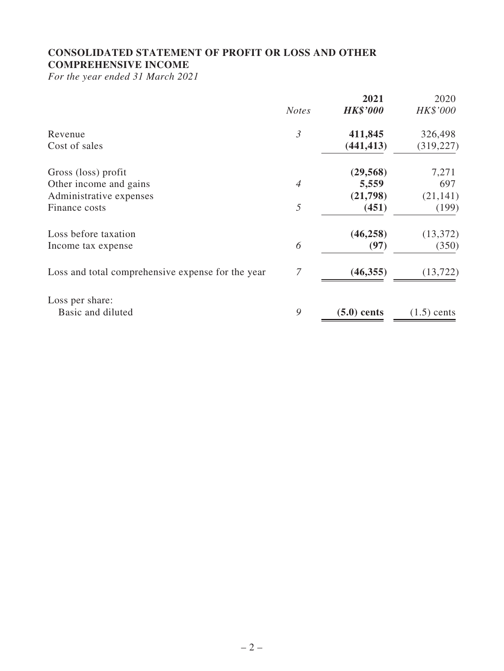## **CONSOLIDATED STATEMENT OF PROFIT OR LOSS AND OTHER COMPREHENSIVE INCOME**

*For the year ended 31 March 2021*

|                                                   | <b>Notes</b>   | 2021<br><b>HK\$'000</b> | 2020<br>HK\$'000 |
|---------------------------------------------------|----------------|-------------------------|------------------|
| Revenue                                           | $\mathfrak{Z}$ | 411,845                 | 326,498          |
| Cost of sales                                     |                | (441, 413)              | (319, 227)       |
| Gross (loss) profit                               |                | (29, 568)               | 7,271            |
| Other income and gains                            | $\overline{4}$ | 5,559                   | 697              |
| Administrative expenses                           |                | (21,798)                | (21, 141)        |
| Finance costs                                     | 5              | (451)                   | (199)            |
| Loss before taxation                              |                | (46, 258)               | (13, 372)        |
| Income tax expense                                | 6              | (97)                    | (350)            |
| Loss and total comprehensive expense for the year | 7              | (46, 355)               | (13, 722)        |
| Loss per share:                                   |                |                         |                  |
| Basic and diluted                                 | 9              | $(5.0)$ cents           | $(1.5)$ cents    |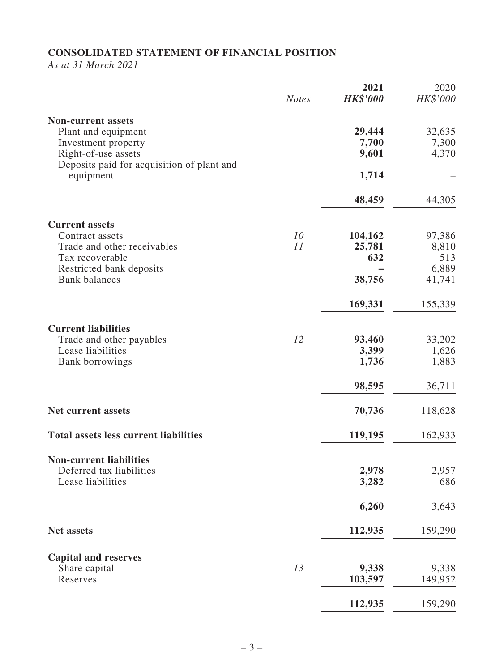# **CONSOLIDATED STATEMENT OF FINANCIAL POSITION**

*As at 31 March 2021*

|                                                         | <b>Notes</b> | 2021<br><b>HK\$'000</b> | 2020<br>HK\$'000 |
|---------------------------------------------------------|--------------|-------------------------|------------------|
| <b>Non-current assets</b>                               |              |                         |                  |
| Plant and equipment                                     |              | 29,444                  | 32,635           |
| Investment property                                     |              | 7,700                   | 7,300            |
| Right-of-use assets                                     |              | 9,601                   | 4,370            |
| Deposits paid for acquisition of plant and<br>equipment |              | 1,714                   |                  |
|                                                         |              | 48,459                  | 44,305           |
| <b>Current assets</b>                                   |              |                         |                  |
| Contract assets                                         | 10           | 104,162                 | 97,386           |
| Trade and other receivables                             | 11           | 25,781                  | 8,810            |
| Tax recoverable                                         |              | 632                     | 513              |
| Restricted bank deposits                                |              |                         | 6,889            |
| <b>Bank</b> balances                                    |              | 38,756                  | 41,741           |
|                                                         |              | 169,331                 | 155,339          |
| <b>Current liabilities</b>                              |              |                         |                  |
| Trade and other payables                                | 12           | 93,460                  | 33,202           |
| Lease liabilities                                       |              | 3,399                   | 1,626            |
| Bank borrowings                                         |              | 1,736                   | 1,883            |
|                                                         |              | 98,595                  | 36,711           |
| <b>Net current assets</b>                               |              | 70,736                  | 118,628          |
| <b>Total assets less current liabilities</b>            |              | 119,195                 | 162,933          |
| <b>Non-current liabilities</b>                          |              |                         |                  |
| Deferred tax liabilities                                |              | 2,978                   | 2,957            |
| Lease liabilities                                       |              | 3,282                   | 686              |
|                                                         |              | 6,260                   | 3,643            |
| <b>Net assets</b>                                       |              | 112,935                 | 159,290          |
|                                                         |              |                         |                  |
| <b>Capital and reserves</b>                             |              |                         |                  |
| Share capital                                           | 13           | 9,338                   | 9,338            |
| Reserves                                                |              | 103,597                 | 149,952          |
|                                                         |              | 112,935                 | 159,290          |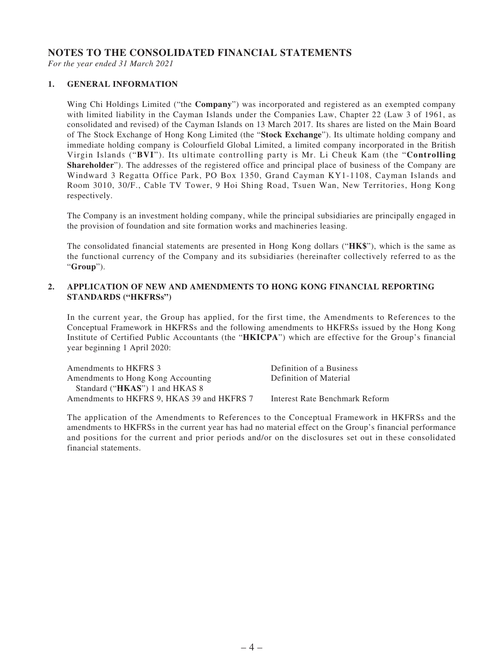#### **NOTES TO THE CONSOLIDATED FINANCIAL STATEMENTS**

*For the year ended 31 March 2021*

#### **1. GENERAL INFORMATION**

Wing Chi Holdings Limited ("the **Company**") was incorporated and registered as an exempted company with limited liability in the Cayman Islands under the Companies Law, Chapter 22 (Law 3 of 1961, as consolidated and revised) of the Cayman Islands on 13 March 2017. Its shares are listed on the Main Board of The Stock Exchange of Hong Kong Limited (the "**Stock Exchange**"). Its ultimate holding company and immediate holding company is Colourfield Global Limited, a limited company incorporated in the British Virgin Islands ("**BVI**"). Its ultimate controlling party is Mr. Li Cheuk Kam (the "**Controlling Shareholder**"). The addresses of the registered office and principal place of business of the Company are Windward 3 Regatta Office Park, PO Box 1350, Grand Cayman KY1-1108, Cayman Islands and Room 3010, 30/F., Cable TV Tower, 9 Hoi Shing Road, Tsuen Wan, New Territories, Hong Kong respectively.

The Company is an investment holding company, while the principal subsidiaries are principally engaged in the provision of foundation and site formation works and machineries leasing.

The consolidated financial statements are presented in Hong Kong dollars ("**HK\$**"), which is the same as the functional currency of the Company and its subsidiaries (hereinafter collectively referred to as the "**Group**").

#### **2. APPLICATION OF NEW AND AMENDMENTS TO HONG KONG FINANCIAL REPORTING STANDARDS ("HKFRSs")**

In the current year, the Group has applied, for the first time, the Amendments to References to the Conceptual Framework in HKFRSs and the following amendments to HKFRSs issued by the Hong Kong Institute of Certified Public Accountants (the "**HKICPA**") which are effective for the Group's financial year beginning 1 April 2020:

| Amendments to HKFRS 3                      | Definition of a Business       |
|--------------------------------------------|--------------------------------|
| Amendments to Hong Kong Accounting         | Definition of Material         |
| Standard (" <b>HKAS</b> ") 1 and HKAS 8    |                                |
| Amendments to HKFRS 9, HKAS 39 and HKFRS 7 | Interest Rate Benchmark Reform |

The application of the Amendments to References to the Conceptual Framework in HKFRSs and the amendments to HKFRSs in the current year has had no material effect on the Group's financial performance and positions for the current and prior periods and/or on the disclosures set out in these consolidated financial statements.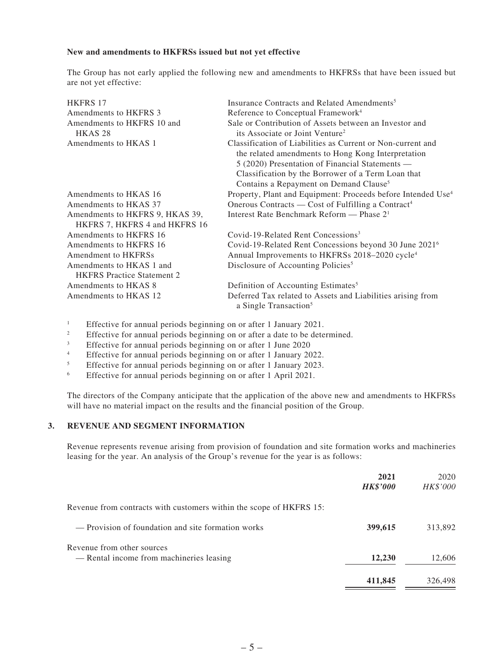#### **New and amendments to HKFRSs issued but not yet effective**

The Group has not early applied the following new and amendments to HKFRSs that have been issued but are not yet effective:

| <b>HKFRS 17</b>                                                  | Insurance Contracts and Related Amendments <sup>5</sup>                                                                                                                                                                                                                          |
|------------------------------------------------------------------|----------------------------------------------------------------------------------------------------------------------------------------------------------------------------------------------------------------------------------------------------------------------------------|
| Amendments to HKFRS 3                                            | Reference to Conceptual Framework <sup>4</sup>                                                                                                                                                                                                                                   |
| Amendments to HKFRS 10 and<br>HKAS <sub>28</sub>                 | Sale or Contribution of Assets between an Investor and<br>its Associate or Joint Venture <sup>2</sup>                                                                                                                                                                            |
| Amendments to HKAS 1                                             | Classification of Liabilities as Current or Non-current and<br>the related amendments to Hong Kong Interpretation<br>5 (2020) Presentation of Financial Statements —<br>Classification by the Borrower of a Term Loan that<br>Contains a Repayment on Demand Clause <sup>5</sup> |
| Amendments to HKAS 16                                            | Property, Plant and Equipment: Proceeds before Intended Use <sup>4</sup>                                                                                                                                                                                                         |
| Amendments to HKAS 37                                            | Onerous Contracts — Cost of Fulfilling a Contract <sup>4</sup>                                                                                                                                                                                                                   |
| Amendments to HKFRS 9, HKAS 39,<br>HKFRS 7, HKFRS 4 and HKFRS 16 | Interest Rate Benchmark Reform — Phase 2 <sup>1</sup>                                                                                                                                                                                                                            |
| Amendments to HKFRS 16                                           | Covid-19-Related Rent Concessions <sup>3</sup>                                                                                                                                                                                                                                   |
| Amendments to HKFRS 16<br>Amendment to HKFRSs                    | Covid-19-Related Rent Concessions beyond 30 June 2021 <sup>6</sup><br>Annual Improvements to HKFRSs 2018-2020 cycle <sup>4</sup>                                                                                                                                                 |
| Amendments to HKAS 1 and<br><b>HKFRS</b> Practice Statement 2    | Disclosure of Accounting Policies <sup>5</sup>                                                                                                                                                                                                                                   |
| Amendments to HKAS 8                                             | Definition of Accounting Estimates <sup>5</sup>                                                                                                                                                                                                                                  |
| Amendments to HKAS 12                                            | Deferred Tax related to Assets and Liabilities arising from<br>a Single Transaction <sup>5</sup>                                                                                                                                                                                 |

<sup>1</sup> Effective for annual periods beginning on or after 1 January 2021.

- <sup>2</sup> Effective for annual periods beginning on or after a date to be determined.<br> **Effective** for annual periods beginning on or after 1 June 2020
- <sup>3</sup> Effective for annual periods beginning on or after 1 June 2020<br>Effective for annual periods beginning on or after 1 January 20

<sup>4</sup> Effective for annual periods beginning on or after 1 January 2022.<br>Effective for annual periods beginning on or after 1 January 2023.

- <sup>5</sup><br>Effective for annual periods beginning on or after 1 April 2021.
- <sup>6</sup> Effective for annual periods beginning on or after 1 April 2021.

The directors of the Company anticipate that the application of the above new and amendments to HKFRSs will have no material impact on the results and the financial position of the Group.

#### **3. REVENUE AND SEGMENT INFORMATION**

Revenue represents revenue arising from provision of foundation and site formation works and machineries leasing for the year. An analysis of the Group's revenue for the year is as follows:

|                                                                        | 2021<br><b>HK\$'000</b> | 2020<br>HK\$'000 |
|------------------------------------------------------------------------|-------------------------|------------------|
| Revenue from contracts with customers within the scope of HKFRS 15:    |                         |                  |
| — Provision of foundation and site formation works                     | 399,615                 | 313,892          |
| Revenue from other sources<br>— Rental income from machineries leasing | 12,230                  | 12,606           |
|                                                                        | 411,845                 | 326,498          |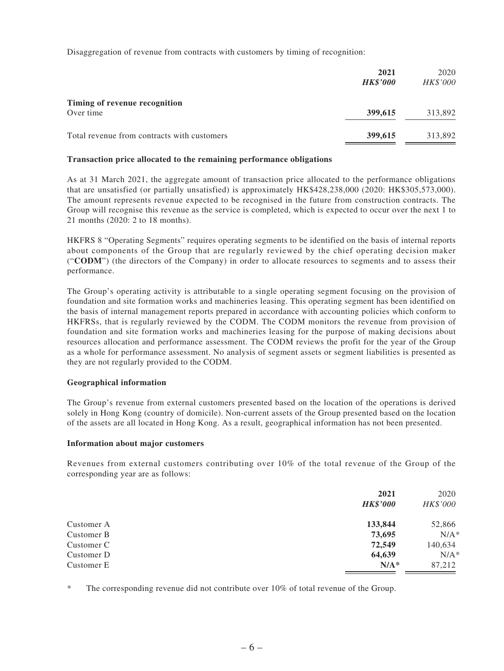Disaggregation of revenue from contracts with customers by timing of recognition:

|                                             | 2021<br><b>HK\$'000</b> | 2020<br><b>HK\$'000</b> |
|---------------------------------------------|-------------------------|-------------------------|
| Timing of revenue recognition<br>Over time  | 399,615                 | 313,892                 |
| Total revenue from contracts with customers | 399,615                 | 313,892                 |

#### **Transaction price allocated to the remaining performance obligations**

As at 31 March 2021, the aggregate amount of transaction price allocated to the performance obligations that are unsatisfied (or partially unsatisfied) is approximately HK\$428,238,000 (2020: HK\$305,573,000). The amount represents revenue expected to be recognised in the future from construction contracts. The Group will recognise this revenue as the service is completed, which is expected to occur over the next 1 to 21 months (2020: 2 to 18 months).

HKFRS 8 "Operating Segments" requires operating segments to be identified on the basis of internal reports about components of the Group that are regularly reviewed by the chief operating decision maker ("**CODM**") (the directors of the Company) in order to allocate resources to segments and to assess their performance.

The Group's operating activity is attributable to a single operating segment focusing on the provision of foundation and site formation works and machineries leasing. This operating segment has been identified on the basis of internal management reports prepared in accordance with accounting policies which conform to HKFRSs, that is regularly reviewed by the CODM. The CODM monitors the revenue from provision of foundation and site formation works and machineries leasing for the purpose of making decisions about resources allocation and performance assessment. The CODM reviews the profit for the year of the Group as a whole for performance assessment. No analysis of segment assets or segment liabilities is presented as they are not regularly provided to the CODM.

#### **Geographical information**

The Group's revenue from external customers presented based on the location of the operations is derived solely in Hong Kong (country of domicile). Non-current assets of the Group presented based on the location of the assets are all located in Hong Kong. As a result, geographical information has not been presented.

#### **Information about major customers**

Revenues from external customers contributing over 10% of the total revenue of the Group of the corresponding year are as follows:

|            | 2021<br><b>HK\$'000</b> | 2020<br>HK\$'000 |
|------------|-------------------------|------------------|
| Customer A | 133,844                 | 52,866           |
| Customer B | 73,695                  | $N/A^*$          |
| Customer C | 72,549                  | 140,634          |
| Customer D | 64,639                  | $N/A^*$          |
| Customer E | $N/A^*$                 | 87,212           |

\* The corresponding revenue did not contribute over 10% of total revenue of the Group.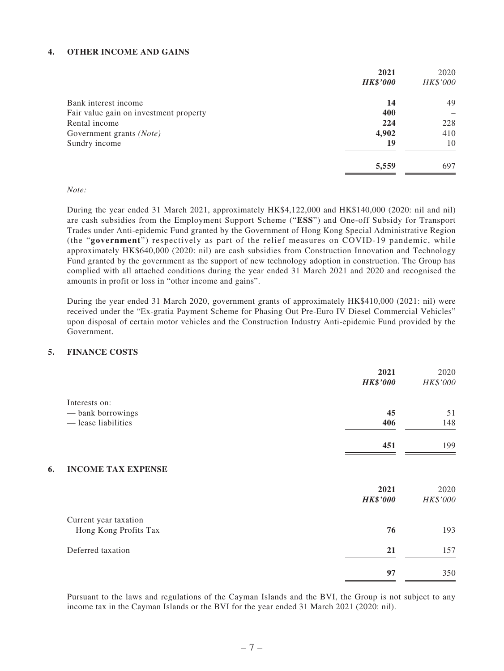#### **4. OTHER INCOME AND GAINS**

| 2021                                          |    | 2020     |
|-----------------------------------------------|----|----------|
| <b>HK\$'000</b>                               |    | HK\$'000 |
| Bank interest income                          | 14 | 49       |
| Fair value gain on investment property<br>400 |    |          |
| 224<br>Rental income                          |    | 228      |
| 4,902<br>Government grants (Note)             |    | 410      |
| Sundry income                                 | 19 | 10       |
| 5,559                                         |    | 697      |

#### *Note:*

During the year ended 31 March 2021, approximately HK\$4,122,000 and HK\$140,000 (2020: nil and nil) are cash subsidies from the Employment Support Scheme ("**ESS**") and One-off Subsidy for Transport Trades under Anti-epidemic Fund granted by the Government of Hong Kong Special Administrative Region (the "**government**") respectively as part of the relief measures on COVID-19 pandemic, while approximately HK\$640,000 (2020: nil) are cash subsidies from Construction Innovation and Technology Fund granted by the government as the support of new technology adoption in construction. The Group has complied with all attached conditions during the year ended 31 March 2021 and 2020 and recognised the amounts in profit or loss in "other income and gains".

During the year ended 31 March 2020, government grants of approximately HK\$410,000 (2021: nil) were received under the "Ex-gratia Payment Scheme for Phasing Out Pre-Euro IV Diesel Commercial Vehicles" upon disposal of certain motor vehicles and the Construction Industry Anti-epidemic Fund provided by the Government.

#### **5. FINANCE COSTS**

|                                 | 2021<br><b>HK\$'000</b> | 2020<br>HK\$'000 |
|---------------------------------|-------------------------|------------------|
| Interests on:                   |                         |                  |
| - bank borrowings               | 45                      | 51               |
| - lease liabilities             | 406                     | 148              |
|                                 | 451                     | 199              |
| <b>INCOME TAX EXPENSE</b><br>6. |                         |                  |
|                                 | 2021                    | 2020             |
|                                 | <b>HK\$'000</b>         | HK\$'000         |
| Current year taxation           |                         |                  |
| Hong Kong Profits Tax           | 76                      | 193              |
| Deferred taxation               | 21                      | 157              |
|                                 | 97                      | 350              |

Pursuant to the laws and regulations of the Cayman Islands and the BVI, the Group is not subject to any income tax in the Cayman Islands or the BVI for the year ended 31 March 2021 (2020: nil).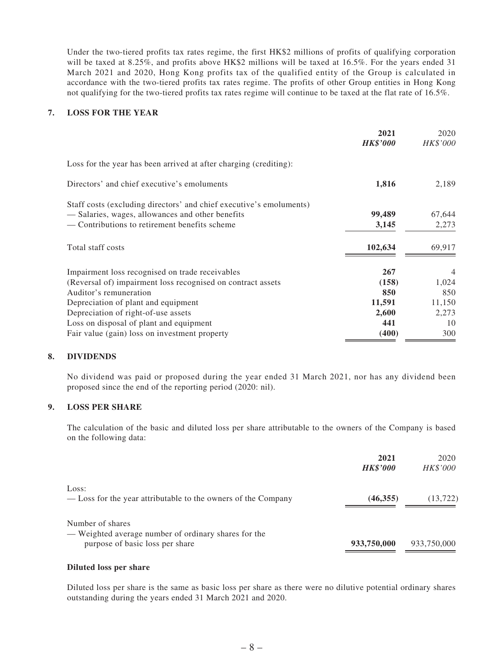Under the two-tiered profits tax rates regime, the first HK\$2 millions of profits of qualifying corporation will be taxed at 8.25%, and profits above HK\$2 millions will be taxed at 16.5%. For the years ended 31 March 2021 and 2020, Hong Kong profits tax of the qualified entity of the Group is calculated in accordance with the two-tiered profits tax rates regime. The profits of other Group entities in Hong Kong not qualifying for the two-tiered profits tax rates regime will continue to be taxed at the flat rate of 16.5%.

#### **7. LOSS FOR THE YEAR**

|                                                                     | 2021<br><b>HK\$'000</b> | 2020<br>HK\$'000 |
|---------------------------------------------------------------------|-------------------------|------------------|
| Loss for the year has been arrived at after charging (crediting):   |                         |                  |
| Directors' and chief executive's emoluments                         | 1,816                   | 2,189            |
| Staff costs (excluding directors' and chief executive's emoluments) |                         |                  |
| — Salaries, wages, allowances and other benefits                    | 99,489                  | 67,644           |
| — Contributions to retirement benefits scheme                       | 3,145                   | 2,273            |
| Total staff costs                                                   | 102,634                 | 69,917           |
| Impairment loss recognised on trade receivables                     | 267                     | 4                |
| (Reversal of) impairment loss recognised on contract assets         | (158)                   | 1,024            |
| Auditor's remuneration                                              | 850                     | 850              |
| Depreciation of plant and equipment                                 | 11,591                  | 11,150           |
| Depreciation of right-of-use assets                                 | 2,600                   | 2,273            |
| Loss on disposal of plant and equipment                             | 441                     | 10               |
| Fair value (gain) loss on investment property                       | (400)                   | 300              |

#### **8. DIVIDENDS**

No dividend was paid or proposed during the year ended 31 March 2021, nor has any dividend been proposed since the end of the reporting period (2020: nil).

#### **9. LOSS PER SHARE**

The calculation of the basic and diluted loss per share attributable to the owners of the Company is based on the following data:

|                                                                                                             | 2021<br><b>HK\$'000</b> | 2020<br>HK\$'000 |
|-------------------------------------------------------------------------------------------------------------|-------------------------|------------------|
| Loss:<br>— Loss for the year attributable to the owners of the Company                                      | (46, 355)               | (13, 722)        |
| Number of shares<br>— Weighted average number of ordinary shares for the<br>purpose of basic loss per share | 933,750,000             | 933,750,000      |

#### **Diluted loss per share**

Diluted loss per share is the same as basic loss per share as there were no dilutive potential ordinary shares outstanding during the years ended 31 March 2021 and 2020.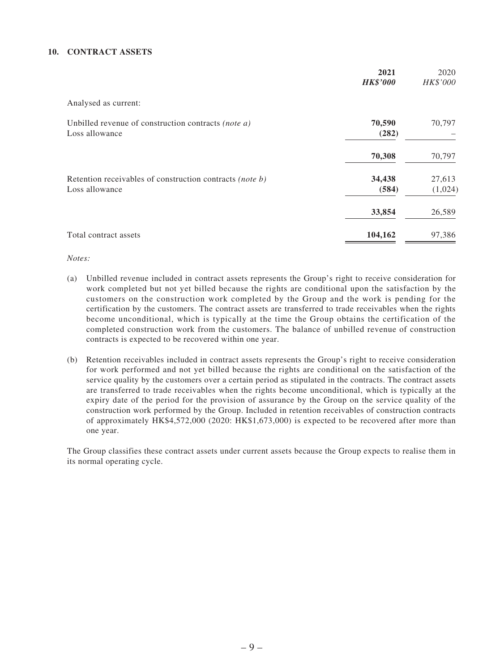#### **10. CONTRACT ASSETS**

|                                                                            | 2021<br><b>HK\$'000</b> | 2020<br>HK\$'000  |
|----------------------------------------------------------------------------|-------------------------|-------------------|
| Analysed as current:                                                       |                         |                   |
| Unbilled revenue of construction contracts (note a)<br>Loss allowance      | 70,590<br>(282)         | 70,797            |
|                                                                            | 70,308                  | 70,797            |
| Retention receivables of construction contracts (note b)<br>Loss allowance | 34,438<br>(584)         | 27,613<br>(1,024) |
|                                                                            | 33,854                  | 26,589            |
| Total contract assets                                                      | 104,162                 | 97,386            |

*Notes:*

- (a) Unbilled revenue included in contract assets represents the Group's right to receive consideration for work completed but not yet billed because the rights are conditional upon the satisfaction by the customers on the construction work completed by the Group and the work is pending for the certification by the customers. The contract assets are transferred to trade receivables when the rights become unconditional, which is typically at the time the Group obtains the certification of the completed construction work from the customers. The balance of unbilled revenue of construction contracts is expected to be recovered within one year.
- (b) Retention receivables included in contract assets represents the Group's right to receive consideration for work performed and not yet billed because the rights are conditional on the satisfaction of the service quality by the customers over a certain period as stipulated in the contracts. The contract assets are transferred to trade receivables when the rights become unconditional, which is typically at the expiry date of the period for the provision of assurance by the Group on the service quality of the construction work performed by the Group. Included in retention receivables of construction contracts of approximately HK\$4,572,000 (2020: HK\$1,673,000) is expected to be recovered after more than one year.

The Group classifies these contract assets under current assets because the Group expects to realise them in its normal operating cycle.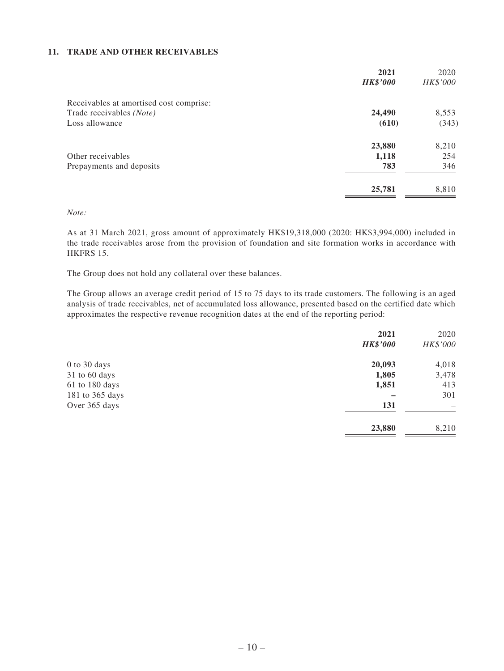#### **11. TRADE AND OTHER RECEIVABLES**

| 2021            | 2020     |
|-----------------|----------|
| <b>HK\$'000</b> | HK\$'000 |
|                 |          |
| 24,490          | 8,553    |
| (610)           | (343)    |
| 23,880          | 8,210    |
| 1,118           | 254      |
| 783             | 346      |
| 25,781          | 8,810    |
|                 |          |

#### *Note:*

As at 31 March 2021, gross amount of approximately HK\$19,318,000 (2020: HK\$3,994,000) included in the trade receivables arose from the provision of foundation and site formation works in accordance with HKFRS 15.

The Group does not hold any collateral over these balances.

The Group allows an average credit period of 15 to 75 days to its trade customers. The following is an aged analysis of trade receivables, net of accumulated loss allowance, presented based on the certified date which approximates the respective revenue recognition dates at the end of the reporting period:

|                 | 2021            | 2020                     |
|-----------------|-----------------|--------------------------|
|                 | <b>HK\$'000</b> | HK\$'000                 |
| 0 to 30 days    | 20,093          | 4,018                    |
| 31 to 60 days   | 1,805           | 3,478                    |
| 61 to 180 days  | 1,851           | 413                      |
| 181 to 365 days |                 | 301                      |
| Over 365 days   | 131             | $\overline{\phantom{0}}$ |
|                 | 23,880          | 8,210                    |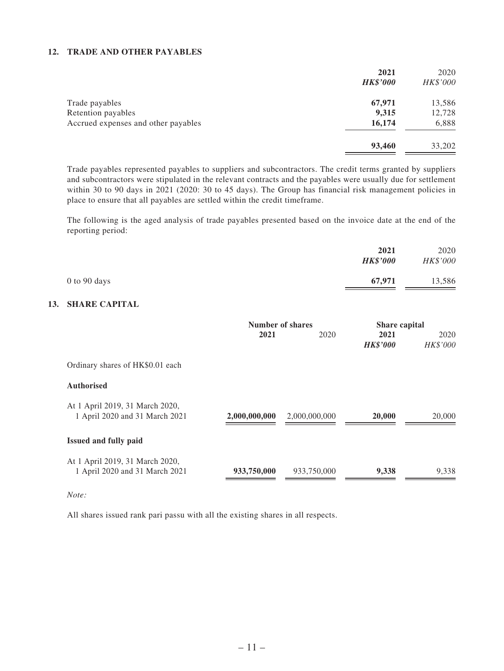#### **12. TRADE AND OTHER PAYABLES**

|                                     | 2021            | 2020     |
|-------------------------------------|-----------------|----------|
|                                     | <b>HK\$'000</b> | HK\$'000 |
| Trade payables                      | 67,971          | 13,586   |
| Retention payables                  | 9,315           | 12,728   |
| Accrued expenses and other payables | 16,174          | 6,888    |
|                                     | 93,460          | 33,202   |

Trade payables represented payables to suppliers and subcontractors. The credit terms granted by suppliers and subcontractors were stipulated in the relevant contracts and the payables were usually due for settlement within 30 to 90 days in 2021 (2020: 30 to 45 days). The Group has financial risk management policies in place to ensure that all payables are settled within the credit timeframe.

The following is the aged analysis of trade payables presented based on the invoice date at the end of the reporting period:

|                  | 2021<br><b>HK\$'000</b> | 2020<br>HK\$'000 |
|------------------|-------------------------|------------------|
| $0$ to $90$ days | 67,971                  | 13,586           |

#### **13. SHARE CAPITAL**

|                                  | Number of shares |               | <b>Share capital</b> |          |
|----------------------------------|------------------|---------------|----------------------|----------|
|                                  | 2021             | 2020          | 2021                 | 2020     |
|                                  |                  |               | <b>HK\$'000</b>      | HK\$'000 |
| Ordinary shares of HK\$0.01 each |                  |               |                      |          |
| <b>Authorised</b>                |                  |               |                      |          |
| At 1 April 2019, 31 March 2020,  |                  |               |                      |          |
| 1 April 2020 and 31 March 2021   | 2,000,000,000    | 2,000,000,000 | 20,000               | 20,000   |
| <b>Issued and fully paid</b>     |                  |               |                      |          |
| At 1 April 2019, 31 March 2020,  |                  |               |                      |          |
| 1 April 2020 and 31 March 2021   | 933,750,000      | 933,750,000   | 9,338                | 9,338    |

#### *Note:*

All shares issued rank pari passu with all the existing shares in all respects.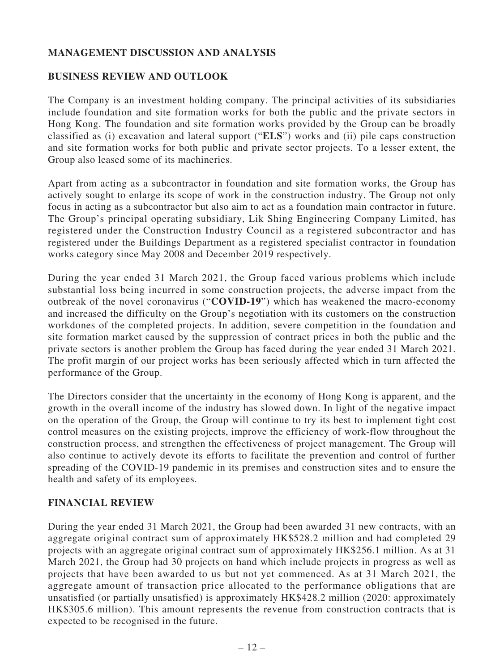# **MANAGEMENT DISCUSSION AND ANALYSIS**

#### **BUSINESS REVIEW AND OUTLOOK**

The Company is an investment holding company. The principal activities of its subsidiaries include foundation and site formation works for both the public and the private sectors in Hong Kong. The foundation and site formation works provided by the Group can be broadly classified as (i) excavation and lateral support ("**ELS**") works and (ii) pile caps construction and site formation works for both public and private sector projects. To a lesser extent, the Group also leased some of its machineries.

Apart from acting as a subcontractor in foundation and site formation works, the Group has actively sought to enlarge its scope of work in the construction industry. The Group not only focus in acting as a subcontractor but also aim to act as a foundation main contractor in future. The Group's principal operating subsidiary, Lik Shing Engineering Company Limited, has registered under the Construction Industry Council as a registered subcontractor and has registered under the Buildings Department as a registered specialist contractor in foundation works category since May 2008 and December 2019 respectively.

During the year ended 31 March 2021, the Group faced various problems which include substantial loss being incurred in some construction projects, the adverse impact from the outbreak of the novel coronavirus ("**COVID-19**") which has weakened the macro-economy and increased the difficulty on the Group's negotiation with its customers on the construction workdones of the completed projects. In addition, severe competition in the foundation and site formation market caused by the suppression of contract prices in both the public and the private sectors is another problem the Group has faced during the year ended 31 March 2021. The profit margin of our project works has been seriously affected which in turn affected the performance of the Group.

The Directors consider that the uncertainty in the economy of Hong Kong is apparent, and the growth in the overall income of the industry has slowed down. In light of the negative impact on the operation of the Group, the Group will continue to try its best to implement tight cost control measures on the existing projects, improve the efficiency of work-flow throughout the construction process, and strengthen the effectiveness of project management. The Group will also continue to actively devote its efforts to facilitate the prevention and control of further spreading of the COVID-19 pandemic in its premises and construction sites and to ensure the health and safety of its employees.

### **FINANCIAL REVIEW**

During the year ended 31 March 2021, the Group had been awarded 31 new contracts, with an aggregate original contract sum of approximately HK\$528.2 million and had completed 29 projects with an aggregate original contract sum of approximately HK\$256.1 million. As at 31 March 2021, the Group had 30 projects on hand which include projects in progress as well as projects that have been awarded to us but not yet commenced. As at 31 March 2021, the aggregate amount of transaction price allocated to the performance obligations that are unsatisfied (or partially unsatisfied) is approximately HK\$428.2 million (2020: approximately HK\$305.6 million). This amount represents the revenue from construction contracts that is expected to be recognised in the future.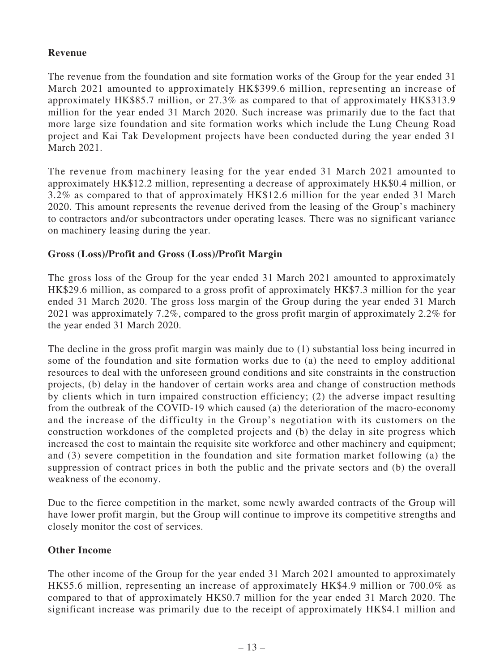### **Revenue**

The revenue from the foundation and site formation works of the Group for the year ended 31 March 2021 amounted to approximately HK\$399.6 million, representing an increase of approximately HK\$85.7 million, or 27.3% as compared to that of approximately HK\$313.9 million for the year ended 31 March 2020. Such increase was primarily due to the fact that more large size foundation and site formation works which include the Lung Cheung Road project and Kai Tak Development projects have been conducted during the year ended 31 March 2021.

The revenue from machinery leasing for the year ended 31 March 2021 amounted to approximately HK\$12.2 million, representing a decrease of approximately HK\$0.4 million, or 3.2% as compared to that of approximately HK\$12.6 million for the year ended 31 March 2020. This amount represents the revenue derived from the leasing of the Group's machinery to contractors and/or subcontractors under operating leases. There was no significant variance on machinery leasing during the year.

## **Gross (Loss)/Profit and Gross (Loss)/Profit Margin**

The gross loss of the Group for the year ended 31 March 2021 amounted to approximately HK\$29.6 million, as compared to a gross profit of approximately HK\$7.3 million for the year ended 31 March 2020. The gross loss margin of the Group during the year ended 31 March 2021 was approximately 7.2%, compared to the gross profit margin of approximately 2.2% for the year ended 31 March 2020.

The decline in the gross profit margin was mainly due to (1) substantial loss being incurred in some of the foundation and site formation works due to (a) the need to employ additional resources to deal with the unforeseen ground conditions and site constraints in the construction projects, (b) delay in the handover of certain works area and change of construction methods by clients which in turn impaired construction efficiency; (2) the adverse impact resulting from the outbreak of the COVID-19 which caused (a) the deterioration of the macro-economy and the increase of the difficulty in the Group's negotiation with its customers on the construction workdones of the completed projects and (b) the delay in site progress which increased the cost to maintain the requisite site workforce and other machinery and equipment; and (3) severe competition in the foundation and site formation market following (a) the suppression of contract prices in both the public and the private sectors and (b) the overall weakness of the economy.

Due to the fierce competition in the market, some newly awarded contracts of the Group will have lower profit margin, but the Group will continue to improve its competitive strengths and closely monitor the cost of services.

### **Other Income**

The other income of the Group for the year ended 31 March 2021 amounted to approximately HK\$5.6 million, representing an increase of approximately HK\$4.9 million or 700.0% as compared to that of approximately HK\$0.7 million for the year ended 31 March 2020. The significant increase was primarily due to the receipt of approximately HK\$4.1 million and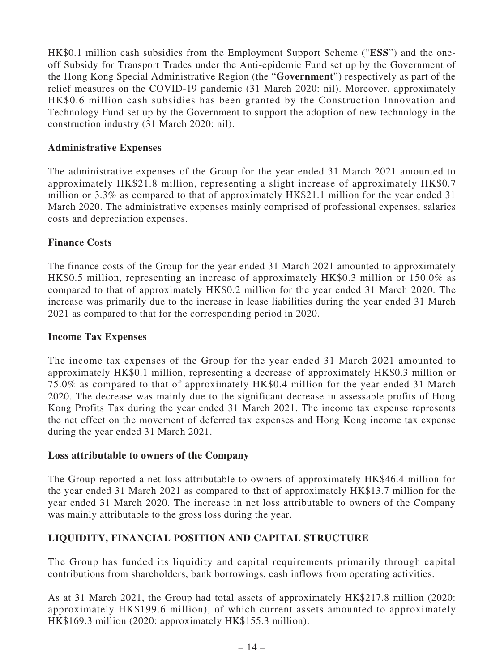HK\$0.1 million cash subsidies from the Employment Support Scheme ("**ESS**") and the oneoff Subsidy for Transport Trades under the Anti-epidemic Fund set up by the Government of the Hong Kong Special Administrative Region (the "**Government**") respectively as part of the relief measures on the COVID-19 pandemic (31 March 2020: nil). Moreover, approximately HK\$0.6 million cash subsidies has been granted by the Construction Innovation and Technology Fund set up by the Government to support the adoption of new technology in the construction industry (31 March 2020: nil).

#### **Administrative Expenses**

The administrative expenses of the Group for the year ended 31 March 2021 amounted to approximately HK\$21.8 million, representing a slight increase of approximately HK\$0.7 million or 3.3% as compared to that of approximately HK\$21.1 million for the year ended 31 March 2020. The administrative expenses mainly comprised of professional expenses, salaries costs and depreciation expenses.

#### **Finance Costs**

The finance costs of the Group for the year ended 31 March 2021 amounted to approximately HK\$0.5 million, representing an increase of approximately HK\$0.3 million or 150.0% as compared to that of approximately HK\$0.2 million for the year ended 31 March 2020. The increase was primarily due to the increase in lease liabilities during the year ended 31 March 2021 as compared to that for the corresponding period in 2020.

#### **Income Tax Expenses**

The income tax expenses of the Group for the year ended 31 March 2021 amounted to approximately HK\$0.1 million, representing a decrease of approximately HK\$0.3 million or 75.0% as compared to that of approximately HK\$0.4 million for the year ended 31 March 2020. The decrease was mainly due to the significant decrease in assessable profits of Hong Kong Profits Tax during the year ended 31 March 2021. The income tax expense represents the net effect on the movement of deferred tax expenses and Hong Kong income tax expense during the year ended 31 March 2021.

#### **Loss attributable to owners of the Company**

The Group reported a net loss attributable to owners of approximately HK\$46.4 million for the year ended 31 March 2021 as compared to that of approximately HK\$13.7 million for the year ended 31 March 2020. The increase in net loss attributable to owners of the Company was mainly attributable to the gross loss during the year.

### **LIQUIDITY, FINANCIAL POSITION AND CAPITAL STRUCTURE**

The Group has funded its liquidity and capital requirements primarily through capital contributions from shareholders, bank borrowings, cash inflows from operating activities.

As at 31 March 2021, the Group had total assets of approximately HK\$217.8 million (2020: approximately HK\$199.6 million), of which current assets amounted to approximately HK\$169.3 million (2020: approximately HK\$155.3 million).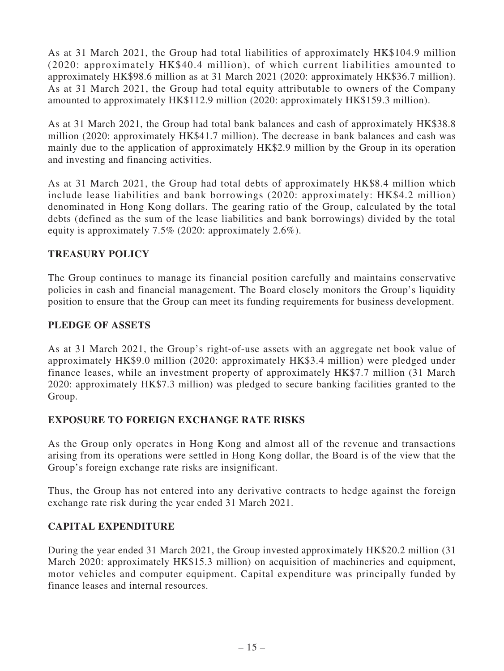As at 31 March 2021, the Group had total liabilities of approximately HK\$104.9 million (2020: approximately HK\$40.4 million), of which current liabilities amounted to approximately HK\$98.6 million as at 31 March 2021 (2020: approximately HK\$36.7 million). As at 31 March 2021, the Group had total equity attributable to owners of the Company amounted to approximately HK\$112.9 million (2020: approximately HK\$159.3 million).

As at 31 March 2021, the Group had total bank balances and cash of approximately HK\$38.8 million (2020: approximately HK\$41.7 million). The decrease in bank balances and cash was mainly due to the application of approximately HK\$2.9 million by the Group in its operation and investing and financing activities.

As at 31 March 2021, the Group had total debts of approximately HK\$8.4 million which include lease liabilities and bank borrowings (2020: approximately: HK\$4.2 million) denominated in Hong Kong dollars. The gearing ratio of the Group, calculated by the total debts (defined as the sum of the lease liabilities and bank borrowings) divided by the total equity is approximately 7.5% (2020: approximately 2.6%).

# **TREASURY POLICY**

The Group continues to manage its financial position carefully and maintains conservative policies in cash and financial management. The Board closely monitors the Group's liquidity position to ensure that the Group can meet its funding requirements for business development.

### **PLEDGE OF ASSETS**

As at 31 March 2021, the Group's right-of-use assets with an aggregate net book value of approximately HK\$9.0 million (2020: approximately HK\$3.4 million) were pledged under finance leases, while an investment property of approximately HK\$7.7 million (31 March 2020: approximately HK\$7.3 million) was pledged to secure banking facilities granted to the Group.

### **EXPOSURE TO FOREIGN EXCHANGE RATE RISKS**

As the Group only operates in Hong Kong and almost all of the revenue and transactions arising from its operations were settled in Hong Kong dollar, the Board is of the view that the Group's foreign exchange rate risks are insignificant.

Thus, the Group has not entered into any derivative contracts to hedge against the foreign exchange rate risk during the year ended 31 March 2021.

### **CAPITAL EXPENDITURE**

During the year ended 31 March 2021, the Group invested approximately HK\$20.2 million (31 March 2020: approximately HK\$15.3 million) on acquisition of machineries and equipment, motor vehicles and computer equipment. Capital expenditure was principally funded by finance leases and internal resources.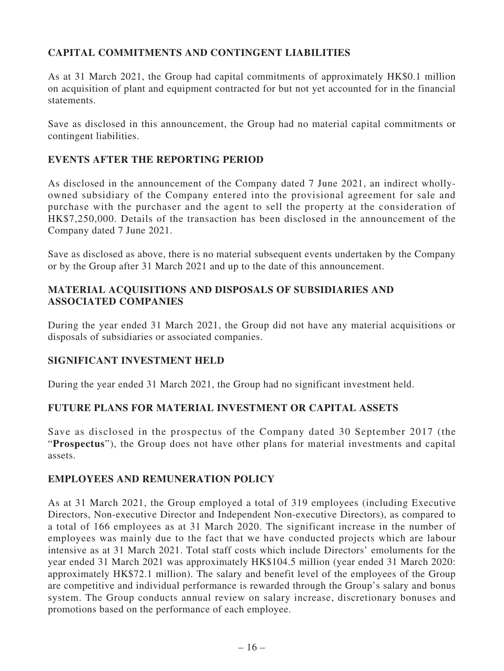# **CAPITAL COMMITMENTS AND CONTINGENT LIABILITIES**

As at 31 March 2021, the Group had capital commitments of approximately HK\$0.1 million on acquisition of plant and equipment contracted for but not yet accounted for in the financial statements.

Save as disclosed in this announcement, the Group had no material capital commitments or contingent liabilities.

### **EVENTS AFTER THE REPORTING PERIOD**

As disclosed in the announcement of the Company dated 7 June 2021, an indirect whollyowned subsidiary of the Company entered into the provisional agreement for sale and purchase with the purchaser and the agent to sell the property at the consideration of HK\$7,250,000. Details of the transaction has been disclosed in the announcement of the Company dated 7 June 2021.

Save as disclosed as above, there is no material subsequent events undertaken by the Company or by the Group after 31 March 2021 and up to the date of this announcement.

### **MATERIAL ACQUISITIONS AND DISPOSALS OF SUBSIDIARIES AND ASSOCIATED COMPANIES**

During the year ended 31 March 2021, the Group did not have any material acquisitions or disposals of subsidiaries or associated companies.

### **SIGNIFICANT INVESTMENT HELD**

During the year ended 31 March 2021, the Group had no significant investment held.

### **FUTURE PLANS FOR MATERIAL INVESTMENT OR CAPITAL ASSETS**

Save as disclosed in the prospectus of the Company dated 30 September 2017 (the "**Prospectus**"), the Group does not have other plans for material investments and capital assets.

### **EMPLOYEES AND REMUNERATION POLICY**

As at 31 March 2021, the Group employed a total of 319 employees (including Executive Directors, Non-executive Director and Independent Non-executive Directors), as compared to a total of 166 employees as at 31 March 2020. The significant increase in the number of employees was mainly due to the fact that we have conducted projects which are labour intensive as at 31 March 2021. Total staff costs which include Directors' emoluments for the year ended 31 March 2021 was approximately HK\$104.5 million (year ended 31 March 2020: approximately HK\$72.1 million). The salary and benefit level of the employees of the Group are competitive and individual performance is rewarded through the Group's salary and bonus system. The Group conducts annual review on salary increase, discretionary bonuses and promotions based on the performance of each employee.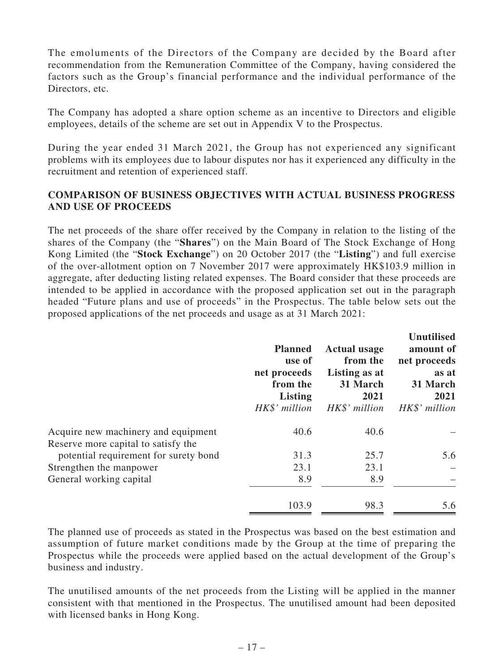The emoluments of the Directors of the Company are decided by the Board after recommendation from the Remuneration Committee of the Company, having considered the factors such as the Group's financial performance and the individual performance of the Directors, etc.

The Company has adopted a share option scheme as an incentive to Directors and eligible employees, details of the scheme are set out in Appendix V to the Prospectus.

During the year ended 31 March 2021, the Group has not experienced any significant problems with its employees due to labour disputes nor has it experienced any difficulty in the recruitment and retention of experienced staff.

### **COMPARISON OF BUSINESS OBJECTIVES WITH ACTUAL BUSINESS PROGRESS AND USE OF PROCEEDS**

The net proceeds of the share offer received by the Company in relation to the listing of the shares of the Company (the "**Shares**") on the Main Board of The Stock Exchange of Hong Kong Limited (the "**Stock Exchange**") on 20 October 2017 (the "**Listing**") and full exercise of the over-allotment option on 7 November 2017 were approximately HK\$103.9 million in aggregate, after deducting listing related expenses. The Board consider that these proceeds are intended to be applied in accordance with the proposed application set out in the paragraph headed "Future plans and use of proceeds" in the Prospectus. The table below sets out the proposed applications of the net proceeds and usage as at 31 March 2021:

|                                       | <b>Planned</b><br>use of<br>net proceeds<br>from the<br><b>Listing</b><br>HK\$' million | <b>Actual usage</b><br>from the<br>Listing as at<br>31 March<br>2021<br>HK\$' million | <b>Unutilised</b><br>amount of<br>net proceeds<br>as at<br>31 March<br>2021<br>HK\$' million |
|---------------------------------------|-----------------------------------------------------------------------------------------|---------------------------------------------------------------------------------------|----------------------------------------------------------------------------------------------|
| Acquire new machinery and equipment   | 40.6                                                                                    | 40.6                                                                                  |                                                                                              |
| Reserve more capital to satisfy the   |                                                                                         |                                                                                       |                                                                                              |
| potential requirement for surety bond | 31.3                                                                                    | 25.7                                                                                  | 5.6                                                                                          |
| Strengthen the manpower               | 23.1                                                                                    | 23.1                                                                                  |                                                                                              |
| General working capital               | 8.9                                                                                     | 8.9                                                                                   |                                                                                              |
|                                       | 103.9                                                                                   | 98.3                                                                                  | 5.6                                                                                          |

The planned use of proceeds as stated in the Prospectus was based on the best estimation and assumption of future market conditions made by the Group at the time of preparing the Prospectus while the proceeds were applied based on the actual development of the Group's business and industry.

The unutilised amounts of the net proceeds from the Listing will be applied in the manner consistent with that mentioned in the Prospectus. The unutilised amount had been deposited with licensed banks in Hong Kong.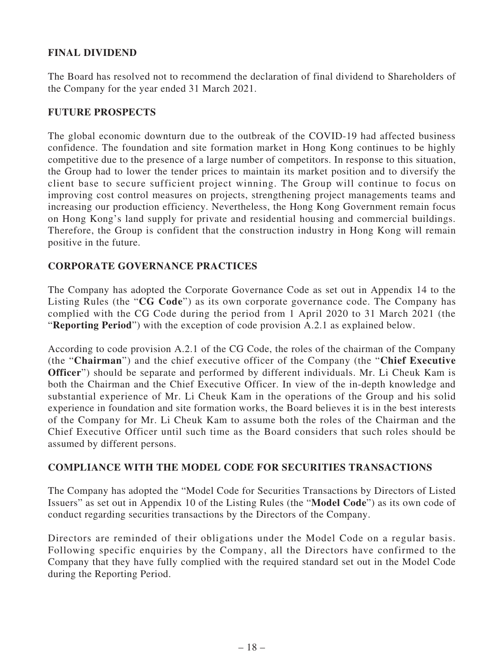### **FINAL DIVIDEND**

The Board has resolved not to recommend the declaration of final dividend to Shareholders of the Company for the year ended 31 March 2021.

#### **FUTURE PROSPECTS**

The global economic downturn due to the outbreak of the COVID-19 had affected business confidence. The foundation and site formation market in Hong Kong continues to be highly competitive due to the presence of a large number of competitors. In response to this situation, the Group had to lower the tender prices to maintain its market position and to diversify the client base to secure sufficient project winning. The Group will continue to focus on improving cost control measures on projects, strengthening project managements teams and increasing our production efficiency. Nevertheless, the Hong Kong Government remain focus on Hong Kong's land supply for private and residential housing and commercial buildings. Therefore, the Group is confident that the construction industry in Hong Kong will remain positive in the future.

### **CORPORATE GOVERNANCE PRACTICES**

The Company has adopted the Corporate Governance Code as set out in Appendix 14 to the Listing Rules (the "**CG Code**") as its own corporate governance code. The Company has complied with the CG Code during the period from 1 April 2020 to 31 March 2021 (the "**Reporting Period**") with the exception of code provision A.2.1 as explained below.

According to code provision A.2.1 of the CG Code, the roles of the chairman of the Company (the "**Chairman**") and the chief executive officer of the Company (the "**Chief Executive Officer**") should be separate and performed by different individuals. Mr. Li Cheuk Kam is both the Chairman and the Chief Executive Officer. In view of the in-depth knowledge and substantial experience of Mr. Li Cheuk Kam in the operations of the Group and his solid experience in foundation and site formation works, the Board believes it is in the best interests of the Company for Mr. Li Cheuk Kam to assume both the roles of the Chairman and the Chief Executive Officer until such time as the Board considers that such roles should be assumed by different persons.

### **COMPLIANCE WITH THE MODEL CODE FOR SECURITIES TRANSACTIONS**

The Company has adopted the "Model Code for Securities Transactions by Directors of Listed Issuers" as set out in Appendix 10 of the Listing Rules (the "**Model Code**") as its own code of conduct regarding securities transactions by the Directors of the Company.

Directors are reminded of their obligations under the Model Code on a regular basis. Following specific enquiries by the Company, all the Directors have confirmed to the Company that they have fully complied with the required standard set out in the Model Code during the Reporting Period.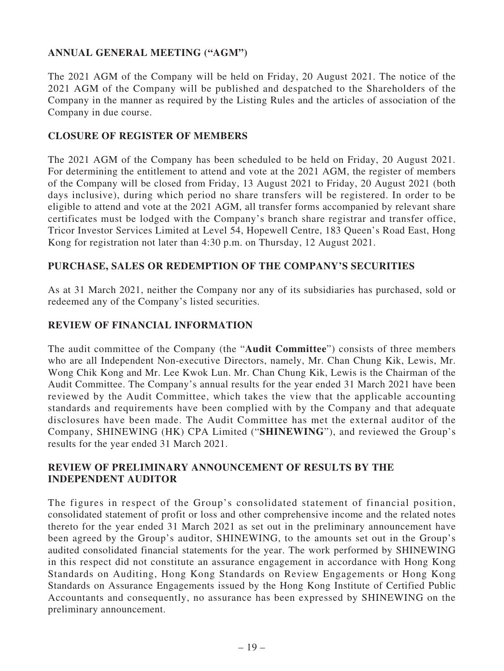# **ANNUAL GENERAL MEETING ("AGM")**

The 2021 AGM of the Company will be held on Friday, 20 August 2021. The notice of the 2021 AGM of the Company will be published and despatched to the Shareholders of the Company in the manner as required by the Listing Rules and the articles of association of the Company in due course.

#### **CLOSURE OF REGISTER OF MEMBERS**

The 2021 AGM of the Company has been scheduled to be held on Friday, 20 August 2021. For determining the entitlement to attend and vote at the 2021 AGM, the register of members of the Company will be closed from Friday, 13 August 2021 to Friday, 20 August 2021 (both days inclusive), during which period no share transfers will be registered. In order to be eligible to attend and vote at the 2021 AGM, all transfer forms accompanied by relevant share certificates must be lodged with the Company's branch share registrar and transfer office, Tricor Investor Services Limited at Level 54, Hopewell Centre, 183 Queen's Road East, Hong Kong for registration not later than 4:30 p.m. on Thursday, 12 August 2021.

### **PURCHASE, SALES OR REDEMPTION OF THE COMPANY'S SECURITIES**

As at 31 March 2021, neither the Company nor any of its subsidiaries has purchased, sold or redeemed any of the Company's listed securities.

#### **REVIEW OF FINANCIAL INFORMATION**

The audit committee of the Company (the "**Audit Committee**") consists of three members who are all Independent Non-executive Directors, namely, Mr. Chan Chung Kik, Lewis, Mr. Wong Chik Kong and Mr. Lee Kwok Lun. Mr. Chan Chung Kik, Lewis is the Chairman of the Audit Committee. The Company's annual results for the year ended 31 March 2021 have been reviewed by the Audit Committee, which takes the view that the applicable accounting standards and requirements have been complied with by the Company and that adequate disclosures have been made. The Audit Committee has met the external auditor of the Company, SHINEWING (HK) CPA Limited ("**SHINEWING**"), and reviewed the Group's results for the year ended 31 March 2021.

#### **REVIEW OF PRELIMINARY ANNOUNCEMENT OF RESULTS BY THE INDEPENDENT AUDITOR**

The figures in respect of the Group's consolidated statement of financial position, consolidated statement of profit or loss and other comprehensive income and the related notes thereto for the year ended 31 March 2021 as set out in the preliminary announcement have been agreed by the Group's auditor, SHINEWING, to the amounts set out in the Group's audited consolidated financial statements for the year. The work performed by SHINEWING in this respect did not constitute an assurance engagement in accordance with Hong Kong Standards on Auditing, Hong Kong Standards on Review Engagements or Hong Kong Standards on Assurance Engagements issued by the Hong Kong Institute of Certified Public Accountants and consequently, no assurance has been expressed by SHINEWING on the preliminary announcement.